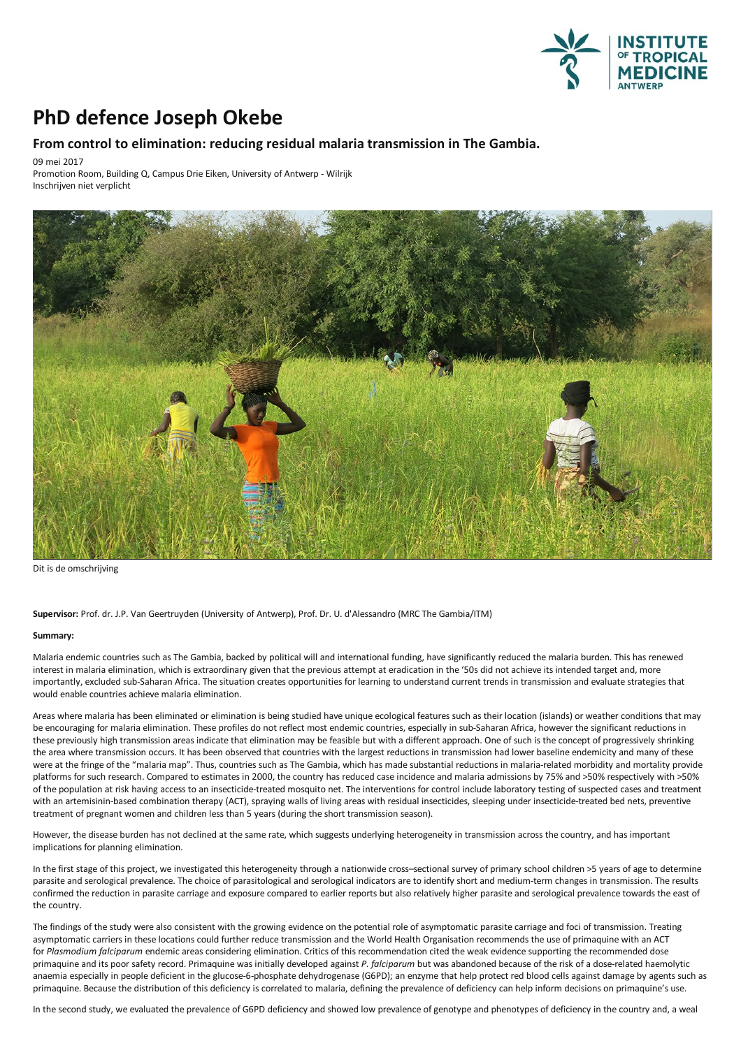

## **PhD defence Joseph Okebe**

## **From control to elimination: reducingresidual malaria transmission in The Gambia.**

09 mei 2017

Promotion Room, Building Q, Campus Drie Eiken, University of Antwerp - Wilrijk Inschrijven niet verplicht



Dit is de omschrijving

**Supervisor:** Prof. dr. J.P. Van Geertruyden (University of Antwerp), Prof. Dr. U. d'Alessandro (MRC The Gambia/ITM)

## **Summary:**

Malaria endemic countries such as The Gambia, backed by political will and international funding, have significantly reduced the malaria burden. This has renewed interest in malaria elimination, which is extraordinary given that the previous attempt at eradication in the '50s did not achieve its intended target and, more importantly, excluded sub-Saharan Africa. The situation creates opportunities for learning to understand current trends in transmission and evaluate strategies that would enable countries achieve malaria elimination.

Areas where malaria has been eliminated or elimination is being studied have unique ecological features such as their location (islands) or weather conditions that may be encouraging for malaria elimination. These profiles do not reflect most endemic countries, especially in sub-Saharan Africa, however the significant reductions in these previously high transmission areas indicate that elimination may be feasible but with a different approach. One of such is the concept of progressively shrinking the area where transmission occurs. It has been observed that countries with the largest reductions in transmission had lower baseline endemicity and many of these<br>were at the fringe of the "malaria map". Thus, countries s platforms for such research. Compared to estimates in 2000, the country has reduced case incidence and malaria admissions by 75% and >50% respectively with >50% of the population at risk having access to an insecticide-treated mosquito net. The interventions for control include laboratory testing of suspected cases and treatment<br>with an artemisinin-based combination therapy (ACT), treatment of pregnant women and children less than 5 years (during the short transmission season).

However, the disease burden has not declined at the same rate, which suggests underlying heterogeneity in transmission across the country, and has important implications for planning elimination.

In the first stage of this project, we investigated this heterogeneity through a nationwide cross-sectional survey of primary school children >5 years of age to determine parasite and serological prevalence. The choice of parasitological and serological indicators are to identify short and medium-term changes in transmission. The results confirmed the reduction in parasite carriage and exposure compared to earlier reports butalso relatively higher parasite and serological prevalence towards the east of the country.

The findings of the study were also consistent with the growing evidence on the potential role of asymptomatic parasite carriage and foci of transmission. Treating asymptomatic carriers in these locations could further reduce transmission and the World Health Organisation recommends the use of primaquine with an ACT for *Plasmodium falciparum* endemic areas considering elimination. Critics of this recommendation cited the weak evidence supporting the recommended dose primaquine and its poor safety record. Primaquine was initially developed against *P. falciparum* but wasabandoned because of the risk ofa dose-related haemolytic anaemia especially in people deficient in the glucose-6-phosphate dehydrogenase (G6PD); an enzyme that help protect red blood cells against damage by agents such as primaquine. Because the distribution of this deficiency is correlated to malaria, defining the prevalence of deficiency can help inform decisions on primaquine's use.

In the second study, we evaluated the prevalence of G6PD deficiency and showed low prevalence of genotype and phenotypes of deficiency in the country and, a weal